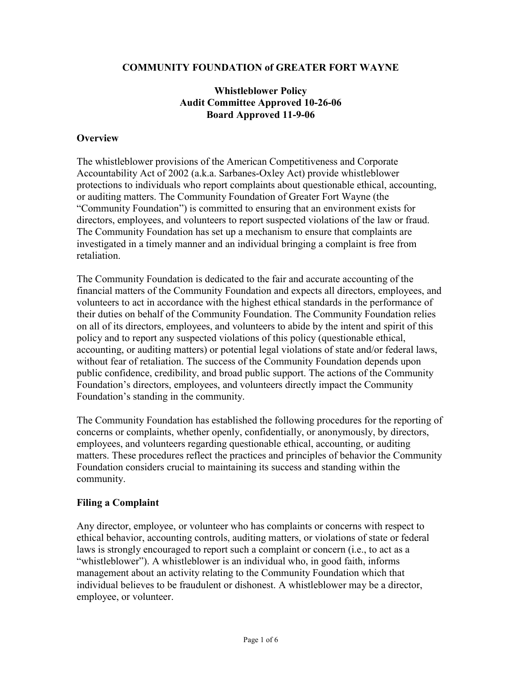#### COMMUNITY FOUNDATION of GREATER FORT WAYNE

# Whistleblower Policy Audit Committee Approved 10-26-06 Board Approved 11-9-06

#### **Overview**

The whistleblower provisions of the American Competitiveness and Corporate Accountability Act of 2002 (a.k.a. Sarbanes-Oxley Act) provide whistleblower protections to individuals who report complaints about questionable ethical, accounting, or auditing matters. The Community Foundation of Greater Fort Wayne (the "Community Foundation") is committed to ensuring that an environment exists for directors, employees, and volunteers to report suspected violations of the law or fraud. The Community Foundation has set up a mechanism to ensure that complaints are investigated in a timely manner and an individual bringing a complaint is free from retaliation.

The Community Foundation is dedicated to the fair and accurate accounting of the financial matters of the Community Foundation and expects all directors, employees, and volunteers to act in accordance with the highest ethical standards in the performance of their duties on behalf of the Community Foundation. The Community Foundation relies on all of its directors, employees, and volunteers to abide by the intent and spirit of this policy and to report any suspected violations of this policy (questionable ethical, accounting, or auditing matters) or potential legal violations of state and/or federal laws, without fear of retaliation. The success of the Community Foundation depends upon public confidence, credibility, and broad public support. The actions of the Community Foundation's directors, employees, and volunteers directly impact the Community Foundation's standing in the community.

The Community Foundation has established the following procedures for the reporting of concerns or complaints, whether openly, confidentially, or anonymously, by directors, employees, and volunteers regarding questionable ethical, accounting, or auditing matters. These procedures reflect the practices and principles of behavior the Community Foundation considers crucial to maintaining its success and standing within the community.

# Filing a Complaint

Any director, employee, or volunteer who has complaints or concerns with respect to ethical behavior, accounting controls, auditing matters, or violations of state or federal laws is strongly encouraged to report such a complaint or concern (i.e., to act as a "whistleblower"). A whistleblower is an individual who, in good faith, informs management about an activity relating to the Community Foundation which that individual believes to be fraudulent or dishonest. A whistleblower may be a director, employee, or volunteer.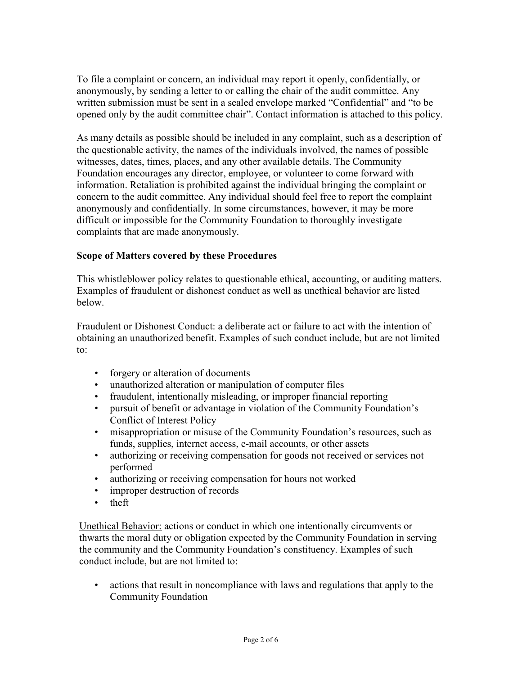To file a complaint or concern, an individual may report it openly, confidentially, or anonymously, by sending a letter to or calling the chair of the audit committee. Any written submission must be sent in a sealed envelope marked "Confidential" and "to be opened only by the audit committee chair". Contact information is attached to this policy.

As many details as possible should be included in any complaint, such as a description of the questionable activity, the names of the individuals involved, the names of possible witnesses, dates, times, places, and any other available details. The Community Foundation encourages any director, employee, or volunteer to come forward with information. Retaliation is prohibited against the individual bringing the complaint or concern to the audit committee. Any individual should feel free to report the complaint anonymously and confidentially. In some circumstances, however, it may be more difficult or impossible for the Community Foundation to thoroughly investigate complaints that are made anonymously.

# Scope of Matters covered by these Procedures

This whistleblower policy relates to questionable ethical, accounting, or auditing matters. Examples of fraudulent or dishonest conduct as well as unethical behavior are listed below.

Fraudulent or Dishonest Conduct: a deliberate act or failure to act with the intention of obtaining an unauthorized benefit. Examples of such conduct include, but are not limited to:

- forgery or alteration of documents
- unauthorized alteration or manipulation of computer files
- fraudulent, intentionally misleading, or improper financial reporting
- pursuit of benefit or advantage in violation of the Community Foundation's Conflict of Interest Policy
- misappropriation or misuse of the Community Foundation's resources, such as funds, supplies, internet access, e-mail accounts, or other assets
- authorizing or receiving compensation for goods not received or services not performed
- authorizing or receiving compensation for hours not worked
- improper destruction of records
- theft

Unethical Behavior: actions or conduct in which one intentionally circumvents or thwarts the moral duty or obligation expected by the Community Foundation in serving the community and the Community Foundation's constituency. Examples of such conduct include, but are not limited to:

• actions that result in noncompliance with laws and regulations that apply to the Community Foundation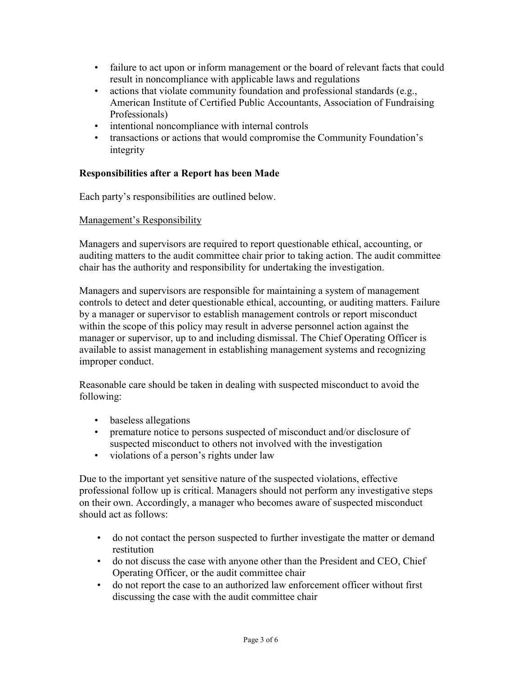- failure to act upon or inform management or the board of relevant facts that could result in noncompliance with applicable laws and regulations
- actions that violate community foundation and professional standards (e.g., American Institute of Certified Public Accountants, Association of Fundraising Professionals)
- intentional noncompliance with internal controls
- transactions or actions that would compromise the Community Foundation's integrity

## Responsibilities after a Report has been Made

Each party's responsibilities are outlined below.

#### Management's Responsibility

Managers and supervisors are required to report questionable ethical, accounting, or auditing matters to the audit committee chair prior to taking action. The audit committee chair has the authority and responsibility for undertaking the investigation.

Managers and supervisors are responsible for maintaining a system of management controls to detect and deter questionable ethical, accounting, or auditing matters. Failure by a manager or supervisor to establish management controls or report misconduct within the scope of this policy may result in adverse personnel action against the manager or supervisor, up to and including dismissal. The Chief Operating Officer is available to assist management in establishing management systems and recognizing improper conduct.

Reasonable care should be taken in dealing with suspected misconduct to avoid the following:

- baseless allegations
- premature notice to persons suspected of misconduct and/or disclosure of suspected misconduct to others not involved with the investigation
- violations of a person's rights under law

Due to the important yet sensitive nature of the suspected violations, effective professional follow up is critical. Managers should not perform any investigative steps on their own. Accordingly, a manager who becomes aware of suspected misconduct should act as follows:

- do not contact the person suspected to further investigate the matter or demand restitution
- do not discuss the case with anyone other than the President and CEO, Chief Operating Officer, or the audit committee chair
- do not report the case to an authorized law enforcement officer without first discussing the case with the audit committee chair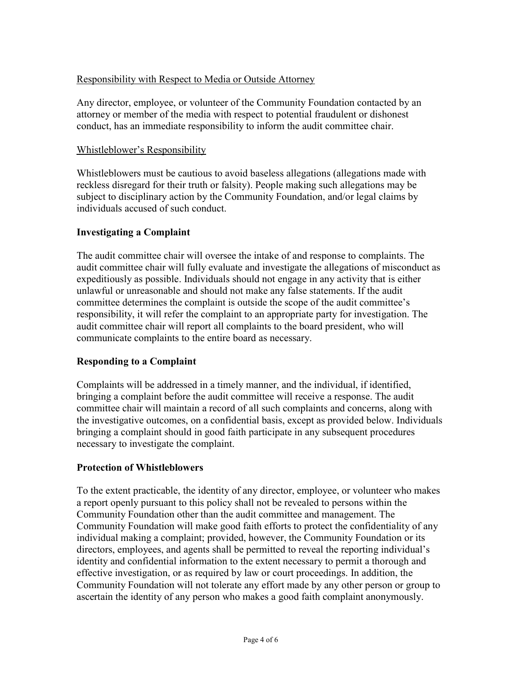# Responsibility with Respect to Media or Outside Attorney

Any director, employee, or volunteer of the Community Foundation contacted by an attorney or member of the media with respect to potential fraudulent or dishonest conduct, has an immediate responsibility to inform the audit committee chair.

## Whistleblower's Responsibility

Whistleblowers must be cautious to avoid baseless allegations (allegations made with reckless disregard for their truth or falsity). People making such allegations may be subject to disciplinary action by the Community Foundation, and/or legal claims by individuals accused of such conduct.

## Investigating a Complaint

The audit committee chair will oversee the intake of and response to complaints. The audit committee chair will fully evaluate and investigate the allegations of misconduct as expeditiously as possible. Individuals should not engage in any activity that is either unlawful or unreasonable and should not make any false statements. If the audit committee determines the complaint is outside the scope of the audit committee's responsibility, it will refer the complaint to an appropriate party for investigation. The audit committee chair will report all complaints to the board president, who will communicate complaints to the entire board as necessary.

# Responding to a Complaint

Complaints will be addressed in a timely manner, and the individual, if identified, bringing a complaint before the audit committee will receive a response. The audit committee chair will maintain a record of all such complaints and concerns, along with the investigative outcomes, on a confidential basis, except as provided below. Individuals bringing a complaint should in good faith participate in any subsequent procedures necessary to investigate the complaint.

#### Protection of Whistleblowers

To the extent practicable, the identity of any director, employee, or volunteer who makes a report openly pursuant to this policy shall not be revealed to persons within the Community Foundation other than the audit committee and management. The Community Foundation will make good faith efforts to protect the confidentiality of any individual making a complaint; provided, however, the Community Foundation or its directors, employees, and agents shall be permitted to reveal the reporting individual's identity and confidential information to the extent necessary to permit a thorough and effective investigation, or as required by law or court proceedings. In addition, the Community Foundation will not tolerate any effort made by any other person or group to ascertain the identity of any person who makes a good faith complaint anonymously.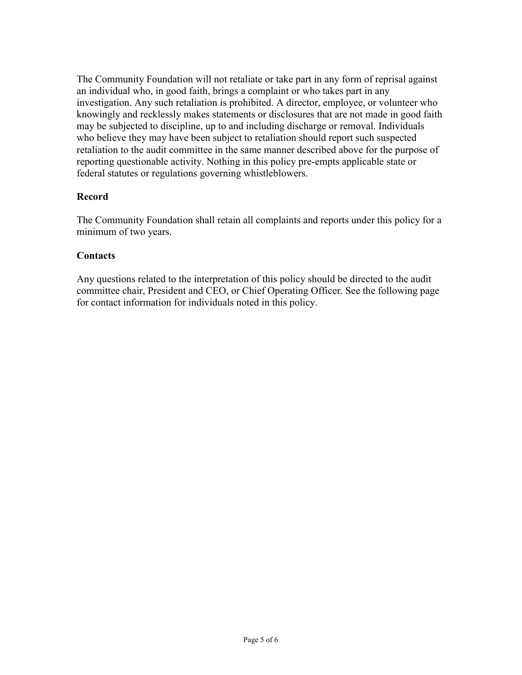The Community Foundation will not retaliate or take part in any form of reprisal against an individual who, in good faith, brings a complaint or who takes part in any investigation. Any such retaliation is prohibited. A director, employee, or volunteer who knowingly and recklessly makes statements or disclosures that are not made in good faith may be subjected to discipline, up to and including discharge or removal. Individuals who believe they may have been subject to retaliation should report such suspected retaliation to the audit committee in the same manner described above for the purpose of reporting questionable activity. Nothing in this policy pre-empts applicable state or federal statutes or regulations governing whistleblowers.

# Record

The Community Foundation shall retain all complaints and reports under this policy for a minimum of two years.

# **Contacts**

Any questions related to the interpretation of this policy should be directed to the audit committee chair, President and CEO, or Chief Operating Officer. See the following page for contact information for individuals noted in this policy.